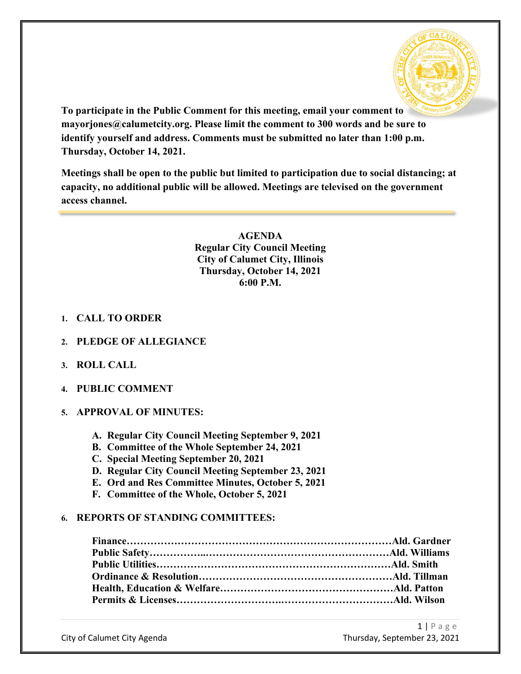

**To participate in the Public Comment for this meeting, email your comment to mayorjones@calumetcity.org. Please limit the comment to 300 words and be sure to identify yourself and address. Comments must be submitted no later than 1:00 p.m. Thursday, October 14, 2021.**

**Meetings shall be open to the public but limited to participation due to social distancing; at capacity, no additional public will be allowed. Meetings are televised on the government access channel.**

# **AGENDA Regular City Council Meeting City of Calumet City, Illinois Thursday, October 14, 2021 6:00 P.M.**

- **1. CALL TO ORDER**
- **2. PLEDGE OF ALLEGIANCE**
- **3. ROLL CALL**
- **4. PUBLIC COMMENT**
- **5. APPROVAL OF MINUTES:**
	- **A. Regular City Council Meeting September 9, 2021**
	- **B. Committee of the Whole September 24, 2021**
	- **C. Special Meeting September 20, 2021**
	- **D. Regular City Council Meeting September 23, 2021**
	- **E. Ord and Res Committee Minutes, October 5, 2021**
	- **F. Committee of the Whole, October 5, 2021**

## **6. REPORTS OF STANDING COMMITTEES:**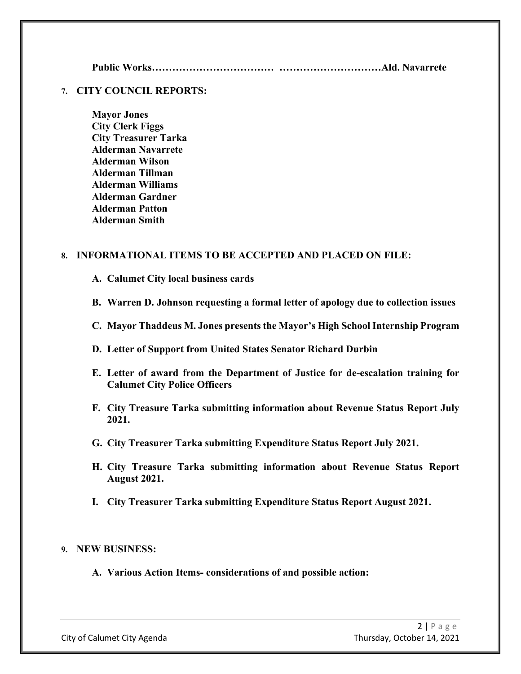**Public Works……………………………… …………………………Ald. Navarrete**

# **7. CITY COUNCIL REPORTS:**

**Mayor Jones City Clerk Figgs City Treasurer Tarka Alderman Navarrete Alderman Wilson Alderman Tillman Alderman Williams Alderman Gardner Alderman Patton Alderman Smith**

# **8. INFORMATIONAL ITEMS TO BE ACCEPTED AND PLACED ON FILE:**

- **A. Calumet City local business cards**
- **B. Warren D. Johnson requesting a formal letter of apology due to collection issues**
- **C. Mayor Thaddeus M. Jones presents the Mayor's High School Internship Program**
- **D. Letter of Support from United States Senator Richard Durbin**
- **E. Letter of award from the Department of Justice for de-escalation training for Calumet City Police Officers**
- **F. City Treasure Tarka submitting information about Revenue Status Report July 2021.**
- **G. City Treasurer Tarka submitting Expenditure Status Report July 2021.**
- **H. City Treasure Tarka submitting information about Revenue Status Report August 2021.**
- **I. City Treasurer Tarka submitting Expenditure Status Report August 2021.**

## **9. NEW BUSINESS:**

**A. Various Action Items- considerations of and possible action:**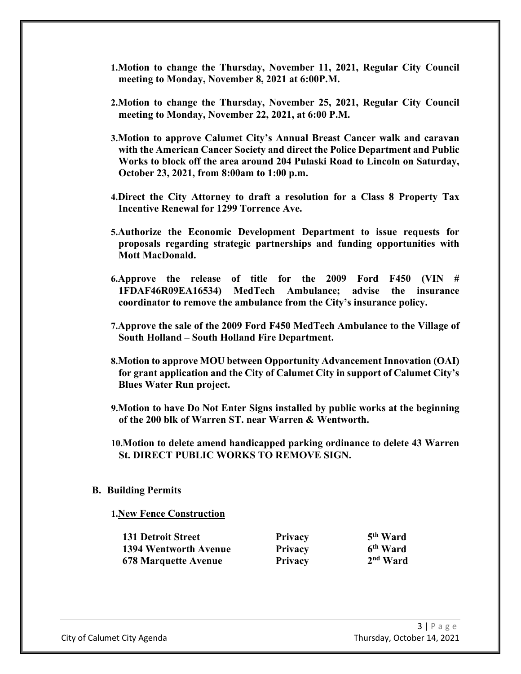- **1.Motion to change the Thursday, November 11, 2021, Regular City Council meeting to Monday, November 8, 2021 at 6:00P.M.**
- **2.Motion to change the Thursday, November 25, 2021, Regular City Council meeting to Monday, November 22, 2021, at 6:00 P.M.**
- **3.Motion to approve Calumet City's Annual Breast Cancer walk and caravan with the American Cancer Society and direct the Police Department and Public Works to block off the area around 204 Pulaski Road to Lincoln on Saturday, October 23, 2021, from 8:00am to 1:00 p.m.**
- **4.Direct the City Attorney to draft a resolution for a Class 8 Property Tax Incentive Renewal for 1299 Torrence Ave.**
- **5.Authorize the Economic Development Department to issue requests for proposals regarding strategic partnerships and funding opportunities with Mott MacDonald.**
- **6.Approve the release of title for the 2009 Ford F450 (VIN # 1FDAF46R09EA16534) MedTech Ambulance; advise the insurance coordinator to remove the ambulance from the City's insurance policy.**
- **7.Approve the sale of the 2009 Ford F450 MedTech Ambulance to the Village of South Holland – South Holland Fire Department.**
- **8.Motion to approve MOU between Opportunity Advancement Innovation (OAI) for grant application and the City of Calumet City in support of Calumet City's Blues Water Run project.**
- **9.Motion to have Do Not Enter Signs installed by public works at the beginning of the 200 blk of Warren ST. near Warren & Wentworth.**
- **10.Motion to delete amend handicapped parking ordinance to delete 43 Warren St. DIRECT PUBLIC WORKS TO REMOVE SIGN.**

#### **B. Building Permits**

**1.New Fence Construction**

| <b>131 Detroit Street</b>    | <b>Privacy</b> | 5 <sup>th</sup> Ward |
|------------------------------|----------------|----------------------|
| <b>1394 Wentworth Avenue</b> | <b>Privacy</b> | 6 <sup>th</sup> Ward |
| <b>678 Marquette Avenue</b>  | <b>Privacy</b> | 2 <sup>nd</sup> Ward |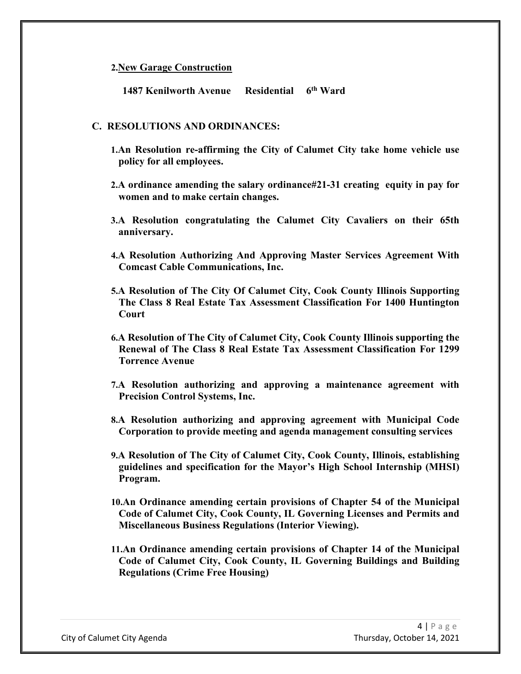### **2.New Garage Construction**

**1487 Kenilworth Avenue Residential 6th Ward**

### **C. RESOLUTIONS AND ORDINANCES:**

- **1.An Resolution re-affirming the City of Calumet City take home vehicle use policy for all employees.**
- **2.A ordinance amending the salary ordinance#21-31 creating equity in pay for women and to make certain changes.**
- **3.A Resolution congratulating the Calumet City Cavaliers on their 65th anniversary.**
- **4.A Resolution Authorizing And Approving Master Services Agreement With Comcast Cable Communications, Inc.**
- **5.A Resolution of The City Of Calumet City, Cook County Illinois Supporting The Class 8 Real Estate Tax Assessment Classification For 1400 Huntington Court**
- **6.A Resolution of The City of Calumet City, Cook County Illinois supporting the Renewal of The Class 8 Real Estate Tax Assessment Classification For 1299 Torrence Avenue**
- **7.A Resolution authorizing and approving a maintenance agreement with Precision Control Systems, Inc.**
- **8.A Resolution authorizing and approving agreement with Municipal Code Corporation to provide meeting and agenda management consulting services**
- **9.A Resolution of The City of Calumet City, Cook County, Illinois, establishing guidelines and specification for the Mayor's High School Internship (MHSI) Program.**
- **10.An Ordinance amending certain provisions of Chapter 54 of the Municipal Code of Calumet City, Cook County, IL Governing Licenses and Permits and Miscellaneous Business Regulations (Interior Viewing).**
- **11.An Ordinance amending certain provisions of Chapter 14 of the Municipal Code of Calumet City, Cook County, IL Governing Buildings and Building Regulations (Crime Free Housing)**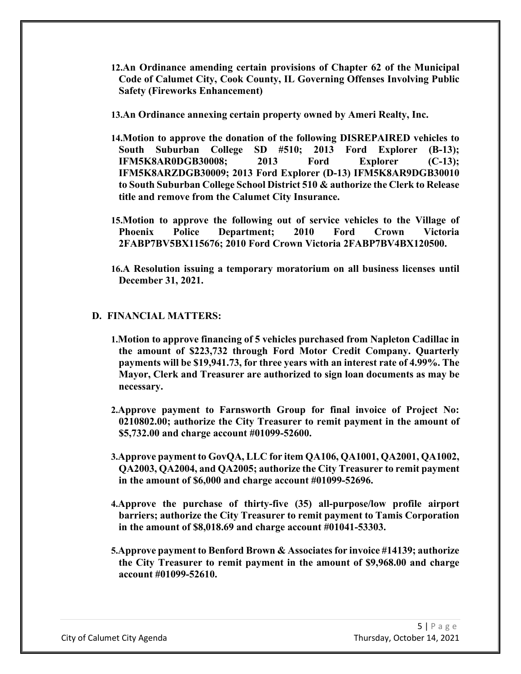- **12.An Ordinance amending certain provisions of Chapter 62 of the Municipal Code of Calumet City, Cook County, IL Governing Offenses Involving Public Safety (Fireworks Enhancement)**
- **13.An Ordinance annexing certain property owned by Ameri Realty, Inc.**
- **14.Motion to approve the donation of the following DISREPAIRED vehicles to South Suburban College SD #510; 2013 Ford Explorer (B-13); IFM5K8AR0DGB30008; 2013 Ford Explorer (C-13); IFM5K8ARZDGB30009; 2013 Ford Explorer (D-13) IFM5K8AR9DGB30010 to South Suburban College School District 510 & authorize the Clerk to Release title and remove from the Calumet City Insurance.**
- **15.Motion to approve the following out of service vehicles to the Village of Phoenix Police Department; 2010 Ford Crown Victoria 2FABP7BV5BX115676; 2010 Ford Crown Victoria 2FABP7BV4BX120500.**
- **16.A Resolution issuing a temporary moratorium on all business licenses until December 31, 2021.**

# **D. FINANCIAL MATTERS:**

- **1.Motion to approve financing of 5 vehicles purchased from Napleton Cadillac in the amount of \$223,732 through Ford Motor Credit Company. Quarterly payments will be \$19,941.73, for three years with an interest rate of 4.99%. The Mayor, Clerk and Treasurer are authorized to sign loan documents as may be necessary.**
- **2.Approve payment to Farnsworth Group for final invoice of Project No: 0210802.00; authorize the City Treasurer to remit payment in the amount of \$5,732.00 and charge account #01099-52600.**
- **3.Approve payment to GovQA, LLC for item QA106, QA1001, QA2001, QA1002, QA2003, QA2004, and QA2005; authorize the City Treasurer to remit payment in the amount of \$6,000 and charge account #01099-52696.**
- **4.Approve the purchase of thirty-five (35) all-purpose/low profile airport barriers; authorize the City Treasurer to remit payment to Tamis Corporation in the amount of \$8,018.69 and charge account #01041-53303.**
- **5.Approve payment to Benford Brown & Associates for invoice #14139; authorize the City Treasurer to remit payment in the amount of \$9,968.00 and charge account #01099-52610.**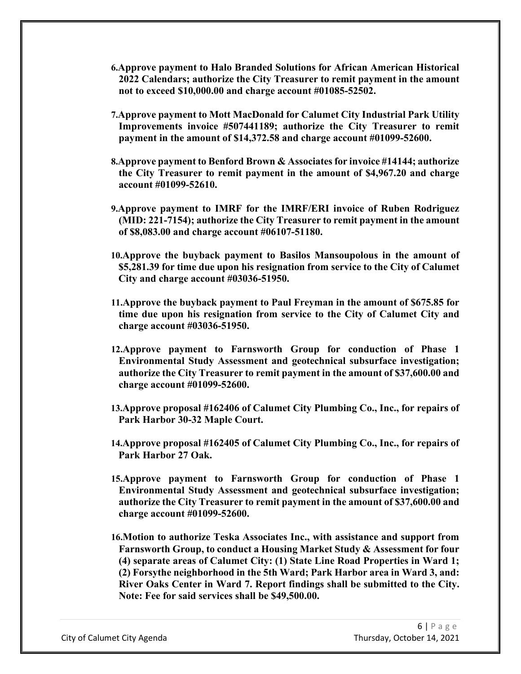- **6.Approve payment to Halo Branded Solutions for African American Historical 2022 Calendars; authorize the City Treasurer to remit payment in the amount not to exceed \$10,000.00 and charge account #01085-52502.**
- **7.Approve payment to Mott MacDonald for Calumet City Industrial Park Utility Improvements invoice #507441189; authorize the City Treasurer to remit payment in the amount of \$14,372.58 and charge account #01099-52600.**
- **8.Approve payment to Benford Brown & Associates for invoice #14144; authorize the City Treasurer to remit payment in the amount of \$4,967.20 and charge account #01099-52610.**
- **9.Approve payment to IMRF for the IMRF/ERI invoice of Ruben Rodriguez (MID: 221-7154); authorize the City Treasurer to remit payment in the amount of \$8,083.00 and charge account #06107-51180.**
- **10.Approve the buyback payment to Basilos Mansoupolous in the amount of \$5,281.39 for time due upon his resignation from service to the City of Calumet City and charge account #03036-51950.**
- **11.Approve the buyback payment to Paul Freyman in the amount of \$675.85 for time due upon his resignation from service to the City of Calumet City and charge account #03036-51950.**
- **12.Approve payment to Farnsworth Group for conduction of Phase 1 Environmental Study Assessment and geotechnical subsurface investigation; authorize the City Treasurer to remit payment in the amount of \$37,600.00 and charge account #01099-52600.**
- **13.Approve proposal #162406 of Calumet City Plumbing Co., Inc., for repairs of Park Harbor 30-32 Maple Court.**
- **14.Approve proposal #162405 of Calumet City Plumbing Co., Inc., for repairs of Park Harbor 27 Oak.**
- **15.Approve payment to Farnsworth Group for conduction of Phase 1 Environmental Study Assessment and geotechnical subsurface investigation; authorize the City Treasurer to remit payment in the amount of \$37,600.00 and charge account #01099-52600.**
- **16.Motion to authorize Teska Associates Inc., with assistance and support from Farnsworth Group, to conduct a Housing Market Study & Assessment for four (4) separate areas of Calumet City: (1) State Line Road Properties in Ward 1; (2) Forsythe neighborhood in the 5th Ward; Park Harbor area in Ward 3, and: River Oaks Center in Ward 7. Report findings shall be submitted to the City. Note: Fee for said services shall be \$49,500.00.**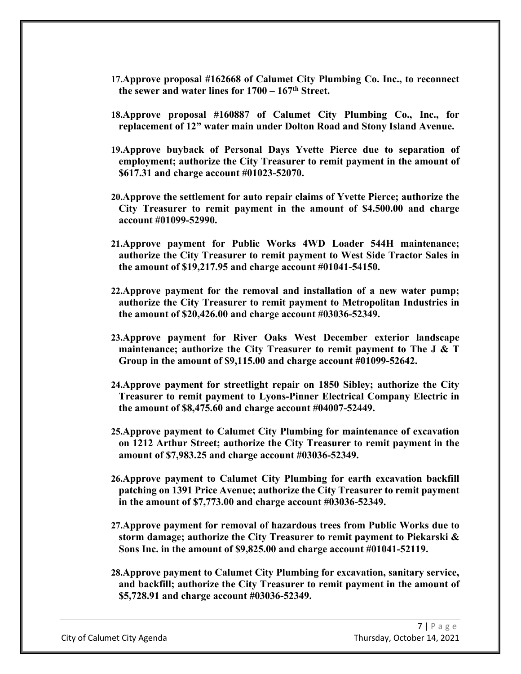- **17.Approve proposal #162668 of Calumet City Plumbing Co. Inc., to reconnect the sewer and water lines for 1700 – 167th Street.**
- **18.Approve proposal #160887 of Calumet City Plumbing Co., Inc., for replacement of 12" water main under Dolton Road and Stony Island Avenue.**
- **19.Approve buyback of Personal Days Yvette Pierce due to separation of employment; authorize the City Treasurer to remit payment in the amount of \$617.31 and charge account #01023-52070.**
- **20.Approve the settlement for auto repair claims of Yvette Pierce; authorize the City Treasurer to remit payment in the amount of \$4.500.00 and charge account #01099-52990.**
- **21.Approve payment for Public Works 4WD Loader 544H maintenance; authorize the City Treasurer to remit payment to West Side Tractor Sales in the amount of \$19,217.95 and charge account #01041-54150.**
- **22.Approve payment for the removal and installation of a new water pump; authorize the City Treasurer to remit payment to Metropolitan Industries in the amount of \$20,426.00 and charge account #03036-52349.**
- **23.Approve payment for River Oaks West December exterior landscape maintenance; authorize the City Treasurer to remit payment to The J & T Group in the amount of \$9,115.00 and charge account #01099-52642.**
- **24.Approve payment for streetlight repair on 1850 Sibley; authorize the City Treasurer to remit payment to Lyons-Pinner Electrical Company Electric in the amount of \$8,475.60 and charge account #04007-52449.**
- **25.Approve payment to Calumet City Plumbing for maintenance of excavation on 1212 Arthur Street; authorize the City Treasurer to remit payment in the amount of \$7,983.25 and charge account #03036-52349.**
- **26.Approve payment to Calumet City Plumbing for earth excavation backfill patching on 1391 Price Avenue; authorize the City Treasurer to remit payment in the amount of \$7,773.00 and charge account #03036-52349.**
- **27.Approve payment for removal of hazardous trees from Public Works due to storm damage; authorize the City Treasurer to remit payment to Piekarski & Sons Inc. in the amount of \$9,825.00 and charge account #01041-52119.**
- **28.Approve payment to Calumet City Plumbing for excavation, sanitary service, and backfill; authorize the City Treasurer to remit payment in the amount of \$5,728.91 and charge account #03036-52349.**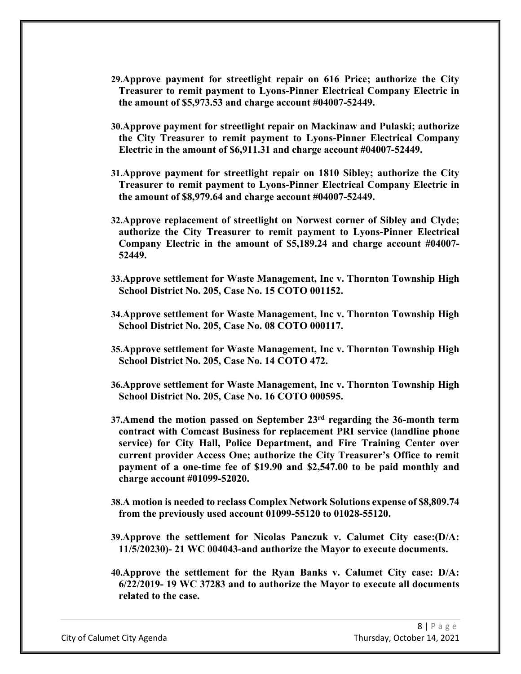- **29.Approve payment for streetlight repair on 616 Price; authorize the City Treasurer to remit payment to Lyons-Pinner Electrical Company Electric in the amount of \$5,973.53 and charge account #04007-52449.**
- **30.Approve payment for streetlight repair on Mackinaw and Pulaski; authorize the City Treasurer to remit payment to Lyons-Pinner Electrical Company Electric in the amount of \$6,911.31 and charge account #04007-52449.**
- **31.Approve payment for streetlight repair on 1810 Sibley; authorize the City Treasurer to remit payment to Lyons-Pinner Electrical Company Electric in the amount of \$8,979.64 and charge account #04007-52449.**
- **32.Approve replacement of streetlight on Norwest corner of Sibley and Clyde; authorize the City Treasurer to remit payment to Lyons-Pinner Electrical Company Electric in the amount of \$5,189.24 and charge account #04007- 52449.**
- **33.Approve settlement for Waste Management, Inc v. Thornton Township High School District No. 205, Case No. 15 COTO 001152.**
- **34.Approve settlement for Waste Management, Inc v. Thornton Township High School District No. 205, Case No. 08 COTO 000117.**
- **35.Approve settlement for Waste Management, Inc v. Thornton Township High School District No. 205, Case No. 14 COTO 472.**
- **36.Approve settlement for Waste Management, Inc v. Thornton Township High School District No. 205, Case No. 16 COTO 000595.**
- **37.Amend the motion passed on September 23rd regarding the 36-month term contract with Comcast Business for replacement PRI service (landline phone service) for City Hall, Police Department, and Fire Training Center over current provider Access One; authorize the City Treasurer's Office to remit payment of a one-time fee of \$19.90 and \$2,547.00 to be paid monthly and charge account #01099-52020.**
- **38.A motion is needed to reclass Complex Network Solutions expense of \$8,809.74 from the previously used account 01099-55120 to 01028-55120.**
- **39.Approve the settlement for Nicolas Panczuk v. Calumet City case:(D/A: 11/5/20230)- 21 WC 004043-and authorize the Mayor to execute documents.**
- **40.Approve the settlement for the Ryan Banks v. Calumet City case: D/A: 6/22/2019- 19 WC 37283 and to authorize the Mayor to execute all documents related to the case.**

City of Calumet City Agenda Thursday, October 14, 2021